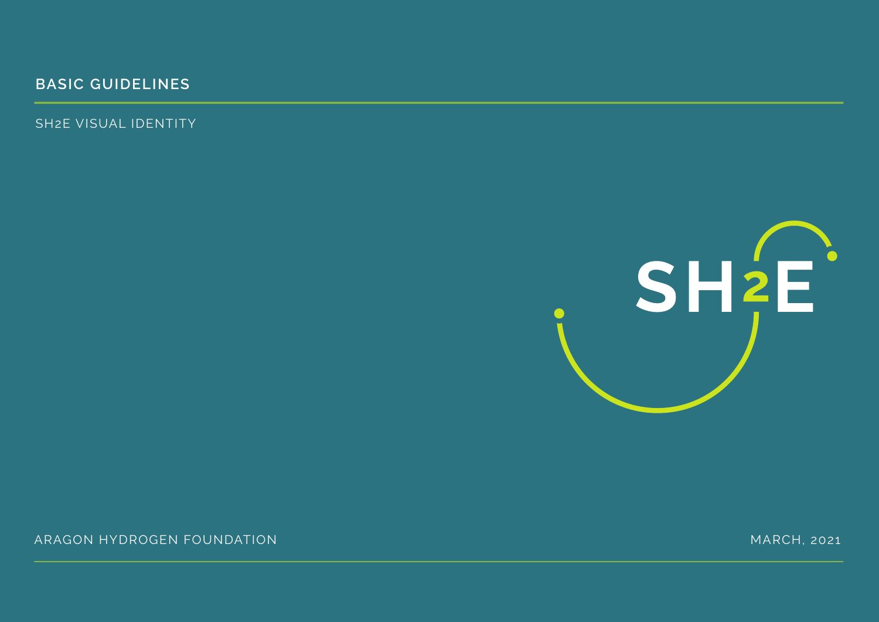## **BASIC GUIDELINES**

SH2E VISUAL IDENTITY



ARAGÓN HYDRÓGEN FOUNDATION (1999) ARAGÓN (1999) ARAGÓN MARCH, 2021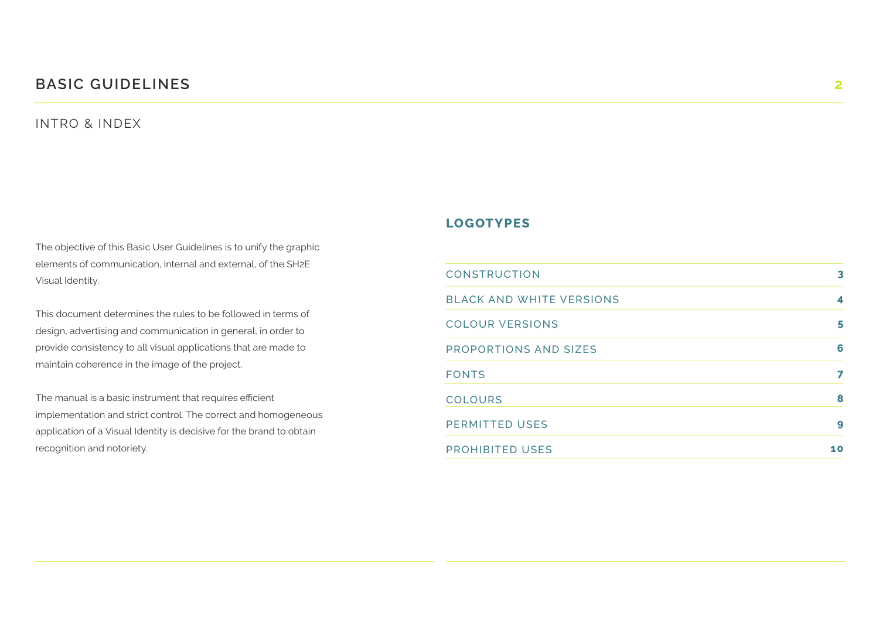#### **BASIC GUIDELINES 2**

#### INTRO & INDEX

The objective of this Basic User Guidelines is to unify the graphic elements of communication, internal and external, of the SH2E Visual Identity.

This document determines the rules to be followed in terms of design, advertising and communication in general, in order to provide consistency to all visual applications that are made to maintain coherence in the image of the project.

The manual is a basic instrument that requires efficient implementation and strict control. The correct and homogeneous application of a Visual Identity is decisive for the brand to obtain recognition and notoriety.

#### **LOGOTYPES**

| <b>CONSTRUCTION</b>             | 3  |
|---------------------------------|----|
| <b>BLACK AND WHITE VERSIONS</b> | 4  |
| <b>COLOUR VERSIONS</b>          | 5  |
| <b>PROPORTIONS AND SIZES</b>    | 6  |
| <b>FONTS</b>                    | 7  |
| <b>COLOURS</b>                  | 8  |
| <b>PERMITTED USES</b>           | 9  |
| <b>PROHIBITED USES</b>          | 10 |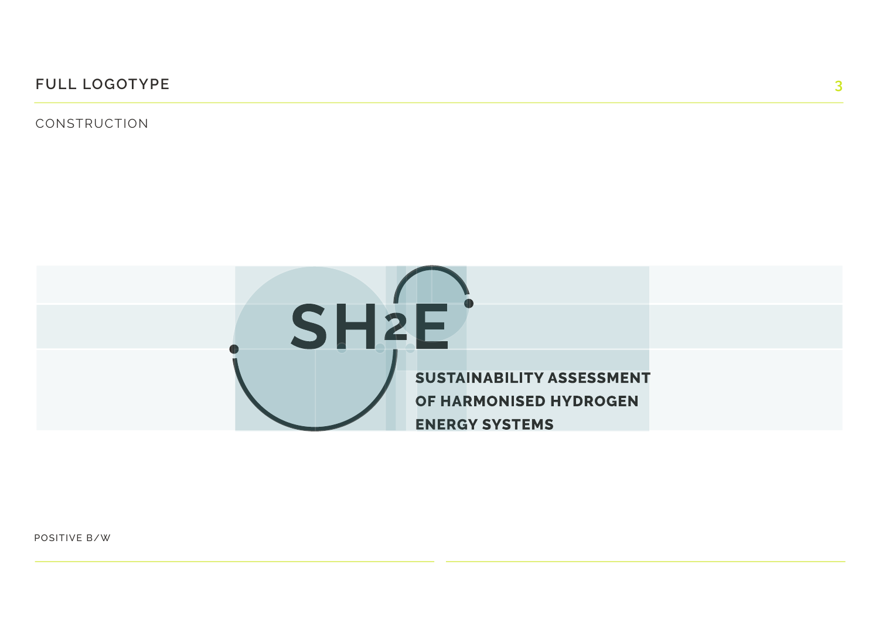**FULL LOGOTYPE 3**

CONSTRUCTION



POSITIVE B/W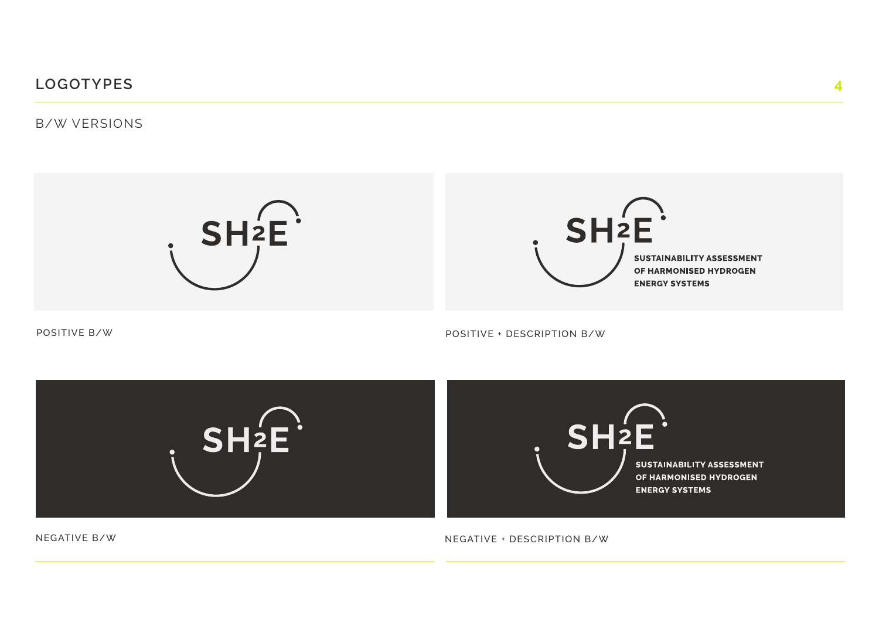B/W VERSIONS





POSITIVE B/W

POSITIVE + DESCRIPTION B/W



NEGATIVE B/W

NEGATIVE + DESCRIPTION B/W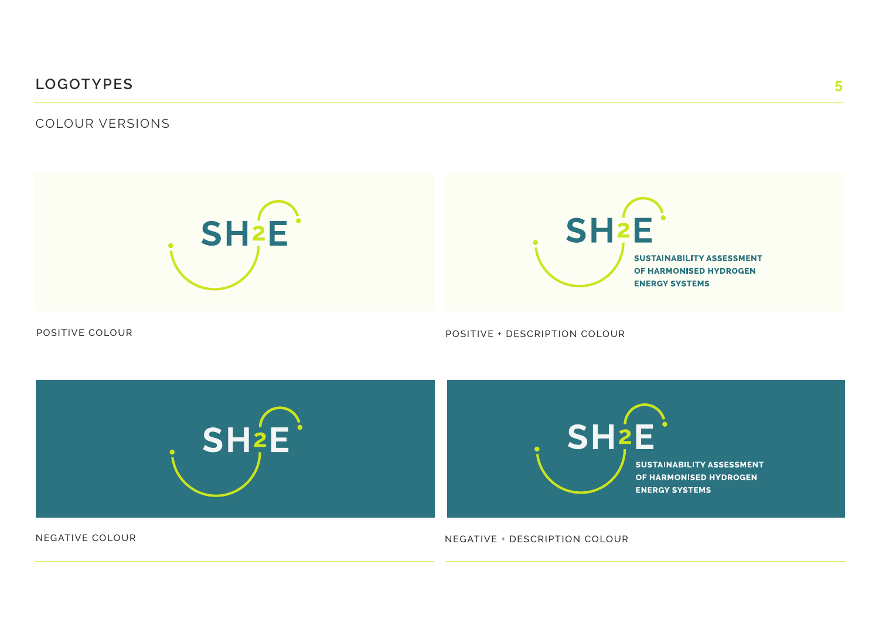COLOUR VERSIONS





POSITIVE COLOUR

POSITIVE + DESCRIPTION COLOUR



NEGATIVE COLOUR

NEGATIVE + DESCRIPTION COLOUR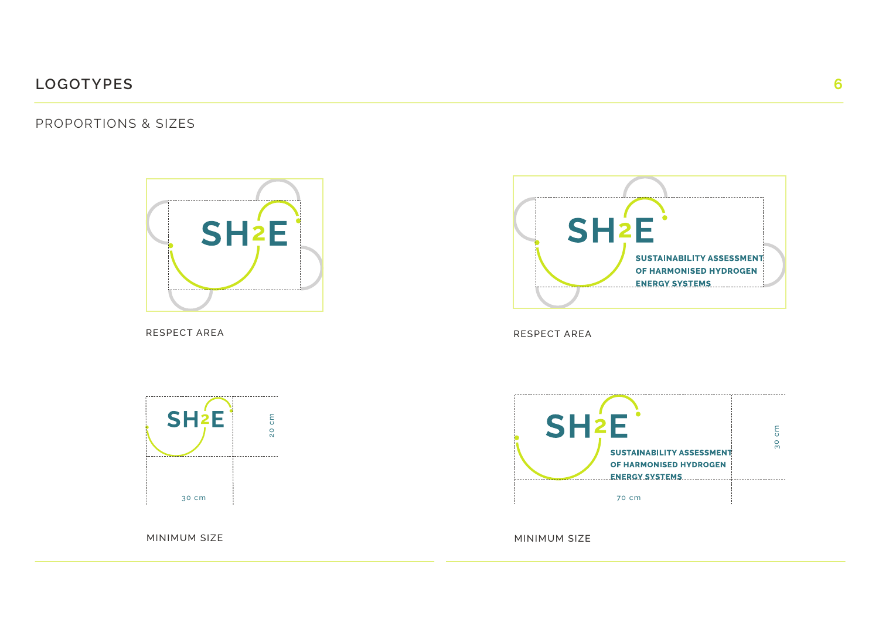PROPORTIONS & SIZES



RESPECT AREA RESPECT AREA RESPECT AREA RESPECT AREA RESPECT AREA RESPECT AREA





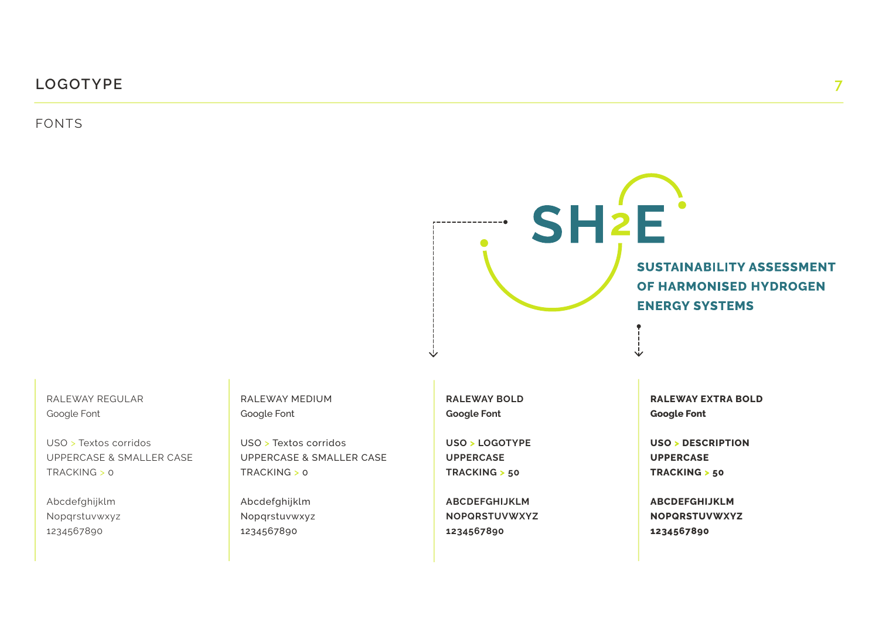FONTS



RALEWAY REGULAR Google Font

USO > Textos corridos UPPERCASE & SMALLER CASE TRACKING > 0

Abcdefghijklm Nopqrstuvwxyz 1234567890

RALEWAY MEDIUM Google Font

USO > Textos corridos UPPERCASE & SMALLER CASE TRACKING > 0

Abcdefghijklm Nopqrstuvwxyz 1234567890

**RALEWAY BOLD Google Font**

**USO > LOGOTYPE UPPERCASE TRACKING > 50**

**ABCDEFGHIJKLM NOPQRSTUVWXYZ 1234567890**

**RALEWAY EXTRA BOLD Google Font**

**USO > DESCRIPTION UPPERCASE TRACKING > 50** 

**ABCDEFGHIJKLM NOPQRSTUVWXYZ 1234567890**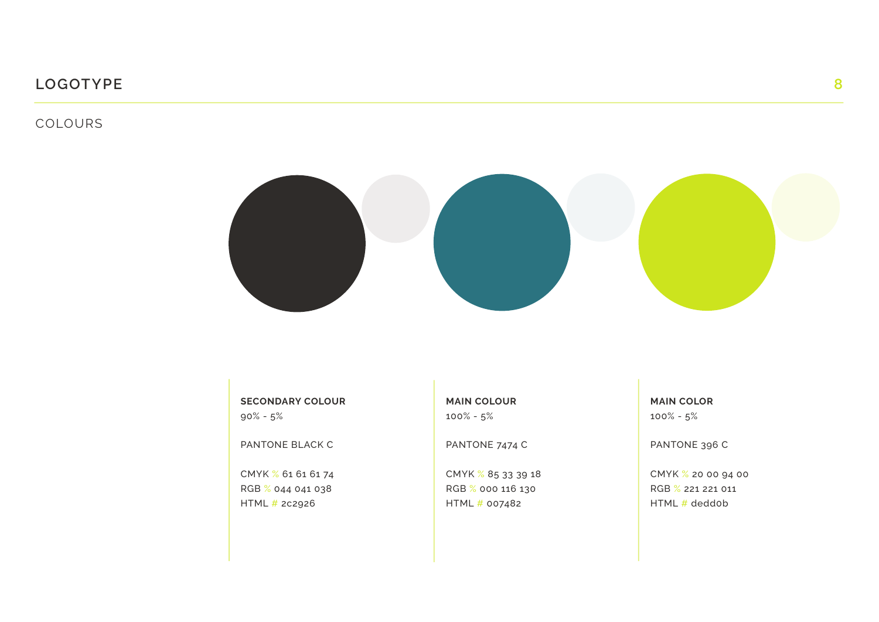#### COLOURS



**SECONDARY COLOUR** 90% - 5%

PANTONE BLACK C

CMYK % 61 61 61 74 RGB % 044 041 038 HTML # 2c2926

**MAIN COLOUR** 100% - 5%

PANTONE 7474 C

CMYK % 85 33 39 18 RGB % 000 116 130 HTML # 007482

**MAIN COLOR** 100% - 5%

PANTONE 396 C

CMYK % 20 00 94 00 RGB % 221 221 011 HTML # dedd0b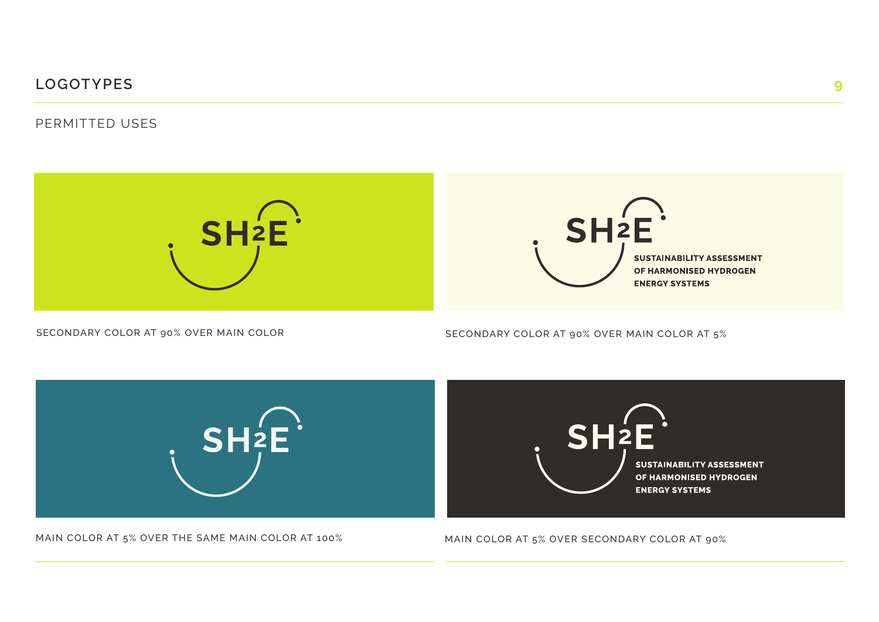#### PERMITTED USES





SECONDARY COLOR AT 90% OVER MAIN COLOR

SECONDARY COLOR AT 90% OVER MAIN COLOR AT 5%



MAIN COLOR AT 5% OVER THE SAME MAIN COLOR AT 100%

MAIN COLOR AT 5% OVER SECONDARY COLOR AT 90%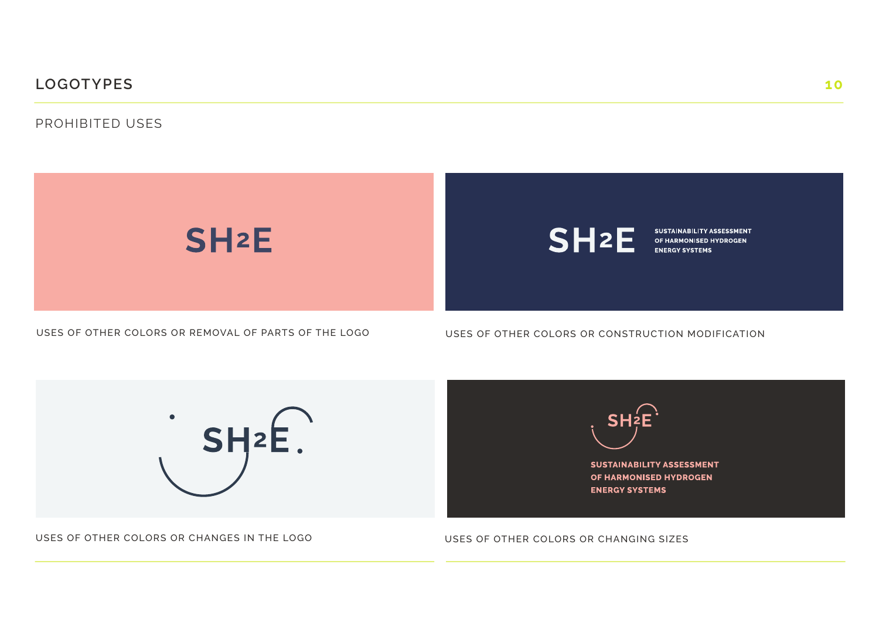PROHIBITED USES



USES OF OTHER COLORS OR REMOVAL OF PARTS OF THE LOGO

USES OF OTHER COLORS OR CONSTRUCTION MODIFICATION



USES OF OTHER COLORS OR CHANGES IN THE LOGO



**SUSTAINABILITY ASSESSMENT** OF HARMONISED HYDROGEN **ENERGY SYSTEMS** 

USES OF OTHER COLORS OR CHANGING SIZES